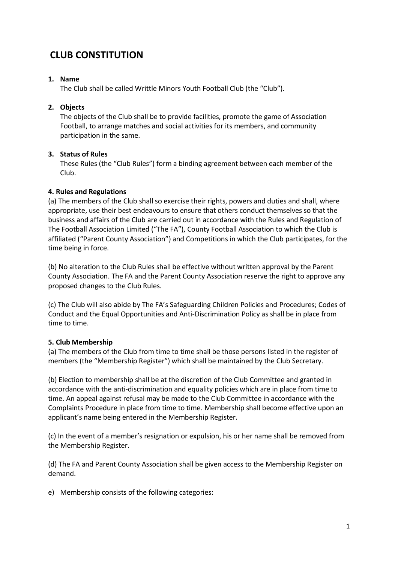# **CLUB CONSTITUTION**

## **1. Name**

The Club shall be called Writtle Minors Youth Football Club (the "Club").

## **2. Objects**

The objects of the Club shall be to provide facilities, promote the game of Association Football, to arrange matches and social activities for its members, and community participation in the same.

## **3. Status of Rules**

These Rules (the "Club Rules") form a binding agreement between each member of the Club.

## **4. Rules and Regulations**

(a) The members of the Club shall so exercise their rights, powers and duties and shall, where appropriate, use their best endeavours to ensure that others conduct themselves so that the business and affairs of the Club are carried out in accordance with the Rules and Regulation of The Football Association Limited ("The FA"), County Football Association to which the Club is affiliated ("Parent County Association") and Competitions in which the Club participates, for the time being in force.

(b) No alteration to the Club Rules shall be effective without written approval by the Parent County Association. The FA and the Parent County Association reserve the right to approve any proposed changes to the Club Rules.

(c) The Club will also abide by The FA's Safeguarding Children Policies and Procedures; Codes of Conduct and the Equal Opportunities and Anti-Discrimination Policy as shall be in place from time to time.

# **5. Club Membership**

(a) The members of the Club from time to time shall be those persons listed in the register of members (the "Membership Register") which shall be maintained by the Club Secretary.

(b) Election to membership shall be at the discretion of the Club Committee and granted in accordance with the anti-discrimination and equality policies which are in place from time to time. An appeal against refusal may be made to the Club Committee in accordance with the Complaints Procedure in place from time to time. Membership shall become effective upon an applicant's name being entered in the Membership Register.

(c) In the event of a member's resignation or expulsion, his or her name shall be removed from the Membership Register.

(d) The FA and Parent County Association shall be given access to the Membership Register on demand.

e) Membership consists of the following categories: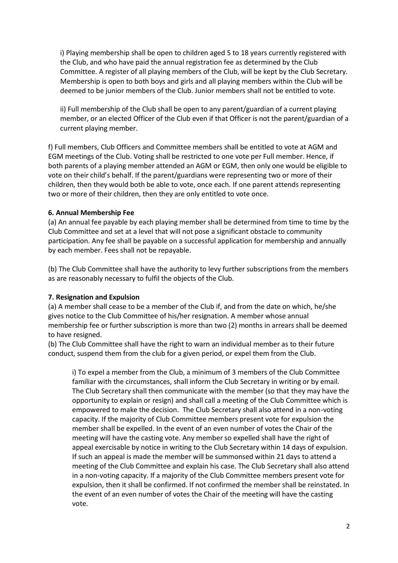i) Playing membership shall be open to children aged 5 to 18 years currently registered with the Club, and who have paid the annual registration fee as determined by the Club Committee. A register of all playing members of the Club, will be kept by the Club Secretary. Membership is open to both boys and girls and all playing members within the Club will be deemed to be junior members of the Club. Junior members shall not be entitled to vote.

ii) Full membership of the Club shall be open to any parent/guardian of a current playing member, or an elected Officer of the Club even if that Officer is not the parent/guardian of a current playing member.

f) Full members, Club Officers and Committee members shall be entitled to vote at AGM and EGM meetings of the Club. Voting shall be restricted to one vote per Full member. Hence, if both parents of a playing member attended an AGM or EGM, then only one would be eligible to vote on their child's behalf. If the parent/guardians were representing two or more of their children, then they would both be able to vote, once each. If one parent attends representing two or more of their children, then they are only entitled to vote once.

## **6. Annual Membership Fee**

(a) An annual fee payable by each playing member shall be determined from time to time by the Club Committee and set at a level that will not pose a significant obstacle to community participation. Any fee shall be payable on a successful application for membership and annually by each member. Fees shall not be repayable.

(b) The Club Committee shall have the authority to levy further subscriptions from the members as are reasonably necessary to fulfil the objects of the Club.

## **7. Resignation and Expulsion**

(a) A member shall cease to be a member of the Club if, and from the date on which, he/she gives notice to the Club Committee of his/her resignation. A member whose annual membership fee or further subscription is more than two (2) months in arrears shall be deemed to have resigned.

(b) The Club Committee shall have the right to warn an individual member as to their future conduct, suspend them from the club for a given period, or expel them from the Club.

i) To expel a member from the Club, a minimum of 3 members of the Club Committee familiar with the circumstances, shall inform the Club Secretary in writing or by email. The Club Secretary shall then communicate with the member (so that they may have the opportunity to explain or resign) and shall call a meeting of the Club Committee which is empowered to make the decision. The Club Secretary shall also attend in a non-voting capacity. If the majority of Club Committee members present vote for expulsion the member shall be expelled. In the event of an even number of votes the Chair of the meeting will have the casting vote. Any member so expelled shall have the right of appeal exercisable by notice in writing to the Club Secretary within 14 days of expulsion. If such an appeal is made the member will be summonsed within 21 days to attend a meeting of the Club Committee and explain his case. The Club Secretary shall also attend in a non-voting capacity. If a majority of the Club Committee members present vote for expulsion, then it shall be confirmed. If not confirmed the member shall be reinstated. In the event of an even number of votes the Chair of the meeting will have the casting vote.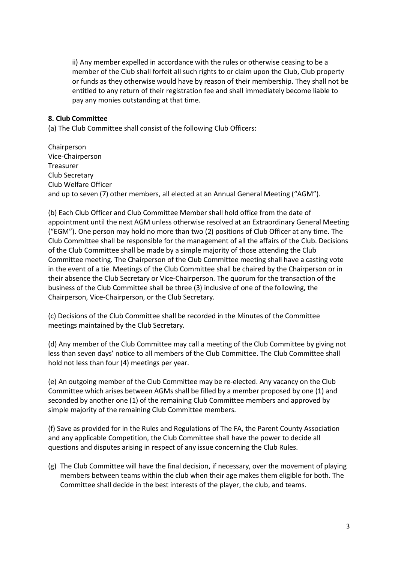ii) Any member expelled in accordance with the rules or otherwise ceasing to be a member of the Club shall forfeit all such rights to or claim upon the Club, Club property or funds as they otherwise would have by reason of their membership. They shall not be entitled to any return of their registration fee and shall immediately become liable to pay any monies outstanding at that time.

#### **8. Club Committee**

(a) The Club Committee shall consist of the following Club Officers:

Chairperson Vice-Chairperson Treasurer Club Secretary Club Welfare Officer and up to seven (7) other members, all elected at an Annual General Meeting ("AGM").

(b) Each Club Officer and Club Committee Member shall hold office from the date of appointment until the next AGM unless otherwise resolved at an Extraordinary General Meeting ("EGM"). One person may hold no more than two (2) positions of Club Officer at any time. The Club Committee shall be responsible for the management of all the affairs of the Club. Decisions of the Club Committee shall be made by a simple majority of those attending the Club Committee meeting. The Chairperson of the Club Committee meeting shall have a casting vote in the event of a tie. Meetings of the Club Committee shall be chaired by the Chairperson or in their absence the Club Secretary or Vice-Chairperson. The quorum for the transaction of the business of the Club Committee shall be three (3) inclusive of one of the following, the Chairperson, Vice-Chairperson, or the Club Secretary.

(c) Decisions of the Club Committee shall be recorded in the Minutes of the Committee meetings maintained by the Club Secretary.

(d) Any member of the Club Committee may call a meeting of the Club Committee by giving not less than seven days' notice to all members of the Club Committee. The Club Committee shall hold not less than four (4) meetings per year.

(e) An outgoing member of the Club Committee may be re-elected. Any vacancy on the Club Committee which arises between AGMs shall be filled by a member proposed by one (1) and seconded by another one (1) of the remaining Club Committee members and approved by simple majority of the remaining Club Committee members.

(f) Save as provided for in the Rules and Regulations of The FA, the Parent County Association and any applicable Competition, the Club Committee shall have the power to decide all questions and disputes arising in respect of any issue concerning the Club Rules.

(g) The Club Committee will have the final decision, if necessary, over the movement of playing members between teams within the club when their age makes them eligible for both. The Committee shall decide in the best interests of the player, the club, and teams.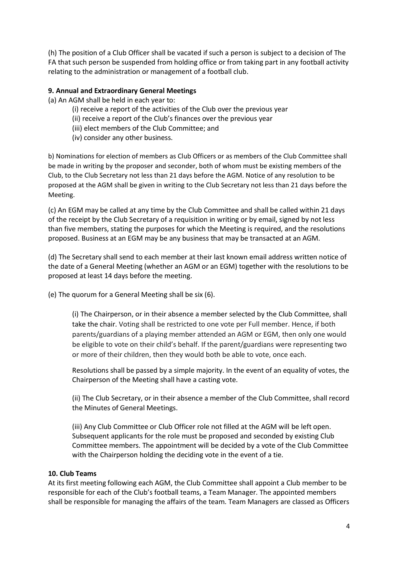(h) The position of a Club Officer shall be vacated if such a person is subject to a decision of The FA that such person be suspended from holding office or from taking part in any football activity relating to the administration or management of a football club.

#### **9. Annual and Extraordinary General Meetings**

(a) An AGM shall be held in each year to:

- (i) receive a report of the activities of the Club over the previous year
- (ii) receive a report of the Club's finances over the previous year
- (iii) elect members of the Club Committee; and
- (iv) consider any other business.

b) Nominations for election of members as Club Officers or as members of the Club Committee shall be made in writing by the proposer and seconder, both of whom must be existing members of the Club, to the Club Secretary not less than 21 days before the AGM. Notice of any resolution to be proposed at the AGM shall be given in writing to the Club Secretary not less than 21 days before the Meeting.

(c) An EGM may be called at any time by the Club Committee and shall be called within 21 days of the receipt by the Club Secretary of a requisition in writing or by email, signed by not less than five members, stating the purposes for which the Meeting is required, and the resolutions proposed. Business at an EGM may be any business that may be transacted at an AGM.

(d) The Secretary shall send to each member at their last known email address written notice of the date of a General Meeting (whether an AGM or an EGM) together with the resolutions to be proposed at least 14 days before the meeting.

(e) The quorum for a General Meeting shall be six (6).

(i) The Chairperson, or in their absence a member selected by the Club Committee, shall take the chair. Voting shall be restricted to one vote per Full member. Hence, if both parents/guardians of a playing member attended an AGM or EGM, then only one would be eligible to vote on their child's behalf. If the parent/guardians were representing two or more of their children, then they would both be able to vote, once each.

Resolutions shall be passed by a simple majority. In the event of an equality of votes, the Chairperson of the Meeting shall have a casting vote.

(ii) The Club Secretary, or in their absence a member of the Club Committee, shall record the Minutes of General Meetings.

(iii) Any Club Committee or Club Officer role not filled at the AGM will be left open. Subsequent applicants for the role must be proposed and seconded by existing Club Committee members. The appointment will be decided by a vote of the Club Committee with the Chairperson holding the deciding vote in the event of a tie.

#### **10. Club Teams**

At its first meeting following each AGM, the Club Committee shall appoint a Club member to be responsible for each of the Club's football teams, a Team Manager. The appointed members shall be responsible for managing the affairs of the team. Team Managers are classed as Officers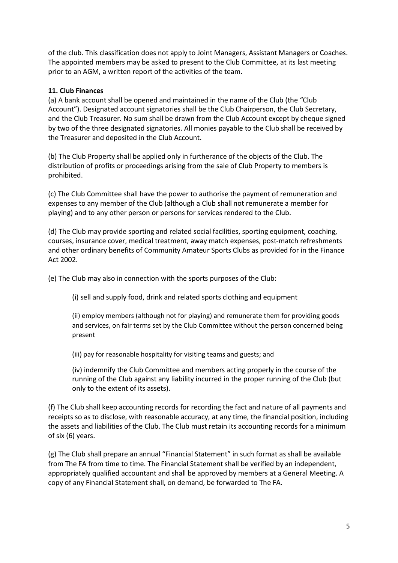of the club. This classification does not apply to Joint Managers, Assistant Managers or Coaches. The appointed members may be asked to present to the Club Committee, at its last meeting prior to an AGM, a written report of the activities of the team.

#### **11. Club Finances**

(a) A bank account shall be opened and maintained in the name of the Club (the "Club Account"). Designated account signatories shall be the Club Chairperson, the Club Secretary, and the Club Treasurer. No sum shall be drawn from the Club Account except by cheque signed by two of the three designated signatories. All monies payable to the Club shall be received by the Treasurer and deposited in the Club Account.

(b) The Club Property shall be applied only in furtherance of the objects of the Club. The distribution of profits or proceedings arising from the sale of Club Property to members is prohibited.

(c) The Club Committee shall have the power to authorise the payment of remuneration and expenses to any member of the Club (although a Club shall not remunerate a member for playing) and to any other person or persons for services rendered to the Club.

(d) The Club may provide sporting and related social facilities, sporting equipment, coaching, courses, insurance cover, medical treatment, away match expenses, post-match refreshments and other ordinary benefits of Community Amateur Sports Clubs as provided for in the Finance Act 2002.

(e) The Club may also in connection with the sports purposes of the Club:

(i) sell and supply food, drink and related sports clothing and equipment

(ii) employ members (although not for playing) and remunerate them for providing goods and services, on fair terms set by the Club Committee without the person concerned being present

(iii) pay for reasonable hospitality for visiting teams and guests; and

(iv) indemnify the Club Committee and members acting properly in the course of the running of the Club against any liability incurred in the proper running of the Club (but only to the extent of its assets).

(f) The Club shall keep accounting records for recording the fact and nature of all payments and receipts so as to disclose, with reasonable accuracy, at any time, the financial position, including the assets and liabilities of the Club. The Club must retain its accounting records for a minimum of six (6) years.

(g) The Club shall prepare an annual "Financial Statement" in such format as shall be available from The FA from time to time. The Financial Statement shall be verified by an independent, appropriately qualified accountant and shall be approved by members at a General Meeting. A copy of any Financial Statement shall, on demand, be forwarded to The FA.